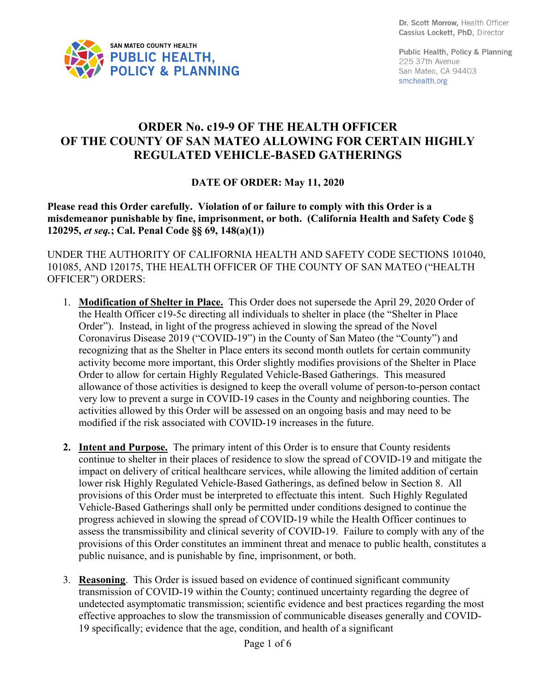Dr. Scott Morrow, Health Officer Cassius Lockett, PhD, Director



Public Health, Policy & Planning 225 37th Avenue San Mateo, CA 94403 smchealth.org

## **ORDER No. c19-9 OF THE HEALTH OFFICER OF THE COUNTY OF SAN MATEO ALLOWING FOR CERTAIN HIGHLY REGULATED VEHICLE-BASED GATHERINGS**

## **DATE OF ORDER: May 11, 2020**

**Please read this Order carefully. Violation of or failure to comply with this Order is a misdemeanor punishable by fine, imprisonment, or both. (California Health and Safety Code § 120295,** *et seq.***; Cal. Penal Code §§ 69, 148(a)(1))**

UNDER THE AUTHORITY OF CALIFORNIA HEALTH AND SAFETY CODE SECTIONS 101040, 101085, AND 120175, THE HEALTH OFFICER OF THE COUNTY OF SAN MATEO ("HEALTH OFFICER") ORDERS:

- 1. **Modification of Shelter in Place.** This Order does not supersede the April 29, 2020 Order of the Health Officer c19-5c directing all individuals to shelter in place (the "Shelter in Place Order"). Instead, in light of the progress achieved in slowing the spread of the Novel Coronavirus Disease 2019 ("COVID-19") in the County of San Mateo (the "County") and recognizing that as the Shelter in Place enters its second month outlets for certain community activity become more important, this Order slightly modifies provisions of the Shelter in Place Order to allow for certain Highly Regulated Vehicle-Based Gatherings. This measured allowance of those activities is designed to keep the overall volume of person-to-person contact very low to prevent a surge in COVID-19 cases in the County and neighboring counties. The activities allowed by this Order will be assessed on an ongoing basis and may need to be modified if the risk associated with COVID-19 increases in the future.
- **2. Intent and Purpose.** The primary intent of this Order is to ensure that County residents continue to shelter in their places of residence to slow the spread of COVID-19 and mitigate the impact on delivery of critical healthcare services, while allowing the limited addition of certain lower risk Highly Regulated Vehicle-Based Gatherings, as defined below in Section 8. All provisions of this Order must be interpreted to effectuate this intent. Such Highly Regulated Vehicle-Based Gatherings shall only be permitted under conditions designed to continue the progress achieved in slowing the spread of COVID-19 while the Health Officer continues to assess the transmissibility and clinical severity of COVID-19. Failure to comply with any of the provisions of this Order constitutes an imminent threat and menace to public health, constitutes a public nuisance, and is punishable by fine, imprisonment, or both.
- 3. **Reasoning**. This Order is issued based on evidence of continued significant community transmission of COVID-19 within the County; continued uncertainty regarding the degree of undetected asymptomatic transmission; scientific evidence and best practices regarding the most effective approaches to slow the transmission of communicable diseases generally and COVID-19 specifically; evidence that the age, condition, and health of a significant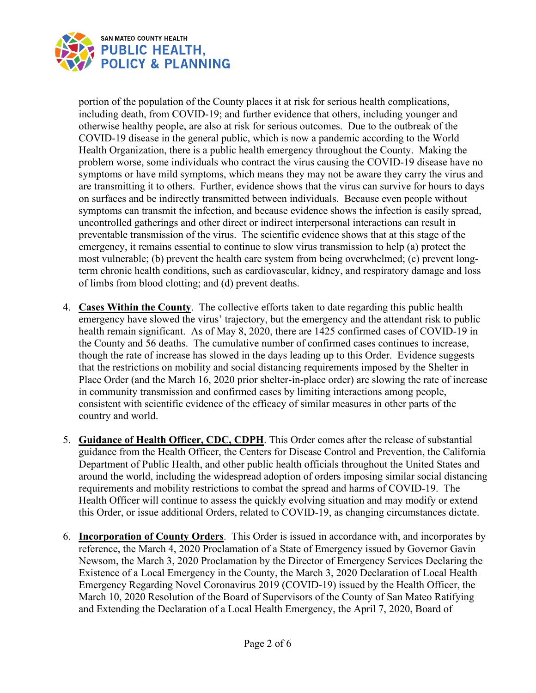

portion of the population of the County places it at risk for serious health complications, including death, from COVID-19; and further evidence that others, including younger and otherwise healthy people, are also at risk for serious outcomes. Due to the outbreak of the COVID-19 disease in the general public, which is now a pandemic according to the World Health Organization, there is a public health emergency throughout the County. Making the problem worse, some individuals who contract the virus causing the COVID-19 disease have no symptoms or have mild symptoms, which means they may not be aware they carry the virus and are transmitting it to others. Further, evidence shows that the virus can survive for hours to days on surfaces and be indirectly transmitted between individuals. Because even people without symptoms can transmit the infection, and because evidence shows the infection is easily spread, uncontrolled gatherings and other direct or indirect interpersonal interactions can result in preventable transmission of the virus. The scientific evidence shows that at this stage of the emergency, it remains essential to continue to slow virus transmission to help (a) protect the most vulnerable; (b) prevent the health care system from being overwhelmed; (c) prevent longterm chronic health conditions, such as cardiovascular, kidney, and respiratory damage and loss of limbs from blood clotting; and (d) prevent deaths.

- 4. **Cases Within the County**. The collective efforts taken to date regarding this public health emergency have slowed the virus' trajectory, but the emergency and the attendant risk to public health remain significant. As of May 8, 2020, there are 1425 confirmed cases of COVID-19 in the County and 56 deaths. The cumulative number of confirmed cases continues to increase, though the rate of increase has slowed in the days leading up to this Order. Evidence suggests that the restrictions on mobility and social distancing requirements imposed by the Shelter in Place Order (and the March 16, 2020 prior shelter-in-place order) are slowing the rate of increase in community transmission and confirmed cases by limiting interactions among people, consistent with scientific evidence of the efficacy of similar measures in other parts of the country and world.
- 5. **Guidance of Health Officer, CDC, CDPH**. This Order comes after the release of substantial guidance from the Health Officer, the Centers for Disease Control and Prevention, the California Department of Public Health, and other public health officials throughout the United States and around the world, including the widespread adoption of orders imposing similar social distancing requirements and mobility restrictions to combat the spread and harms of COVID-19. The Health Officer will continue to assess the quickly evolving situation and may modify or extend this Order, or issue additional Orders, related to COVID-19, as changing circumstances dictate.
- 6. **Incorporation of County Orders**. This Order is issued in accordance with, and incorporates by reference, the March 4, 2020 Proclamation of a State of Emergency issued by Governor Gavin Newsom, the March 3, 2020 Proclamation by the Director of Emergency Services Declaring the Existence of a Local Emergency in the County, the March 3, 2020 Declaration of Local Health Emergency Regarding Novel Coronavirus 2019 (COVID-19) issued by the Health Officer, the March 10, 2020 Resolution of the Board of Supervisors of the County of San Mateo Ratifying and Extending the Declaration of a Local Health Emergency, the April 7, 2020, Board of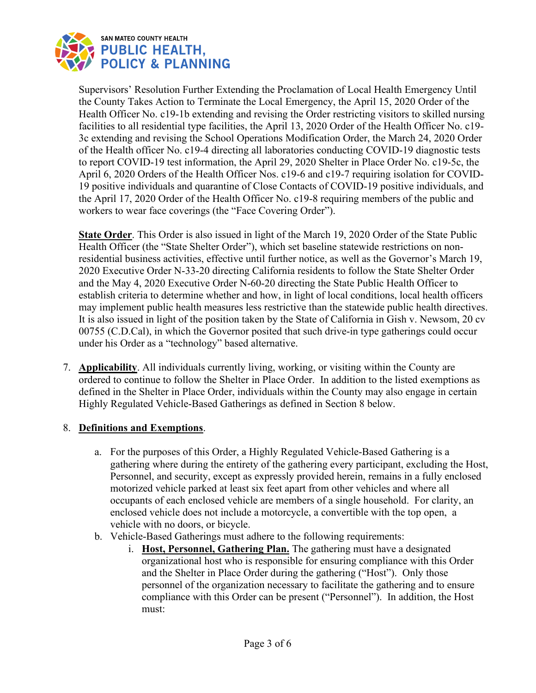

Supervisors' Resolution Further Extending the Proclamation of Local Health Emergency Until the County Takes Action to Terminate the Local Emergency, the April 15, 2020 Order of the Health Officer No. c19-1b extending and revising the Order restricting visitors to skilled nursing facilities to all residential type facilities, the April 13, 2020 Order of the Health Officer No. c19- 3c extending and revising the School Operations Modification Order, the March 24, 2020 Order of the Health officer No. c19-4 directing all laboratories conducting COVID-19 diagnostic tests to report COVID-19 test information, the April 29, 2020 Shelter in Place Order No. c19-5c, the April 6, 2020 Orders of the Health Officer Nos. c19-6 and c19-7 requiring isolation for COVID-19 positive individuals and quarantine of Close Contacts of COVID-19 positive individuals, and the April 17, 2020 Order of the Health Officer No. c19-8 requiring members of the public and workers to wear face coverings (the "Face Covering Order").

**State Order**. This Order is also issued in light of the March 19, 2020 Order of the State Public Health Officer (the "State Shelter Order"), which set baseline statewide restrictions on nonresidential business activities, effective until further notice, as well as the Governor's March 19, 2020 Executive Order N-33-20 directing California residents to follow the State Shelter Order and the May 4, 2020 Executive Order N-60-20 directing the State Public Health Officer to establish criteria to determine whether and how, in light of local conditions, local health officers may implement public health measures less restrictive than the statewide public health directives. It is also issued in light of the position taken by the State of California in Gish v. Newsom, 20 cv 00755 (C.D.Cal), in which the Governor posited that such drive-in type gatherings could occur under his Order as a "technology" based alternative.

7. **Applicability**. All individuals currently living, working, or visiting within the County are ordered to continue to follow the Shelter in Place Order. In addition to the listed exemptions as defined in the Shelter in Place Order, individuals within the County may also engage in certain Highly Regulated Vehicle-Based Gatherings as defined in Section 8 below.

## 8. **Definitions and Exemptions**.

- a. For the purposes of this Order, a Highly Regulated Vehicle-Based Gathering is a gathering where during the entirety of the gathering every participant, excluding the Host, Personnel, and security, except as expressly provided herein, remains in a fully enclosed motorized vehicle parked at least six feet apart from other vehicles and where all occupants of each enclosed vehicle are members of a single household. For clarity, an enclosed vehicle does not include a motorcycle, a convertible with the top open, a vehicle with no doors, or bicycle.
- b. Vehicle-Based Gatherings must adhere to the following requirements:
	- i. **Host, Personnel, Gathering Plan.** The gathering must have a designated organizational host who is responsible for ensuring compliance with this Order and the Shelter in Place Order during the gathering ("Host"). Only those personnel of the organization necessary to facilitate the gathering and to ensure compliance with this Order can be present ("Personnel"). In addition, the Host must: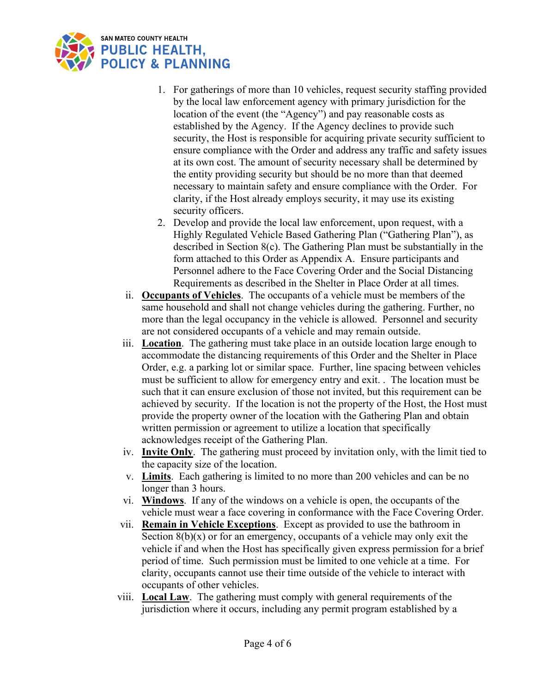

- 1. For gatherings of more than 10 vehicles, request security staffing provided by the local law enforcement agency with primary jurisdiction for the location of the event (the "Agency") and pay reasonable costs as established by the Agency. If the Agency declines to provide such security, the Host is responsible for acquiring private security sufficient to ensure compliance with the Order and address any traffic and safety issues at its own cost. The amount of security necessary shall be determined by the entity providing security but should be no more than that deemed necessary to maintain safety and ensure compliance with the Order. For clarity, if the Host already employs security, it may use its existing security officers.
- 2. Develop and provide the local law enforcement, upon request, with a Highly Regulated Vehicle Based Gathering Plan ("Gathering Plan"), as described in Section 8(c). The Gathering Plan must be substantially in the form attached to this Order as Appendix A. Ensure participants and Personnel adhere to the Face Covering Order and the Social Distancing Requirements as described in the Shelter in Place Order at all times.
- ii. **Occupants of Vehicles**. The occupants of a vehicle must be members of the same household and shall not change vehicles during the gathering. Further, no more than the legal occupancy in the vehicle is allowed. Personnel and security are not considered occupants of a vehicle and may remain outside.
- iii. **Location**. The gathering must take place in an outside location large enough to accommodate the distancing requirements of this Order and the Shelter in Place Order, e.g. a parking lot or similar space. Further, line spacing between vehicles must be sufficient to allow for emergency entry and exit. . The location must be such that it can ensure exclusion of those not invited, but this requirement can be achieved by security. If the location is not the property of the Host, the Host must provide the property owner of the location with the Gathering Plan and obtain written permission or agreement to utilize a location that specifically acknowledges receipt of the Gathering Plan.
- iv. **Invite Only**. The gathering must proceed by invitation only, with the limit tied to the capacity size of the location.
- v. **Limits**. Each gathering is limited to no more than 200 vehicles and can be no longer than 3 hours.
- vi. **Windows**. If any of the windows on a vehicle is open, the occupants of the vehicle must wear a face covering in conformance with the Face Covering Order.
- vii. **Remain in Vehicle Exceptions**. Except as provided to use the bathroom in Section  $8(b)(x)$  or for an emergency, occupants of a vehicle may only exit the vehicle if and when the Host has specifically given express permission for a brief period of time. Such permission must be limited to one vehicle at a time. For clarity, occupants cannot use their time outside of the vehicle to interact with occupants of other vehicles.
- viii. **Local Law**. The gathering must comply with general requirements of the jurisdiction where it occurs, including any permit program established by a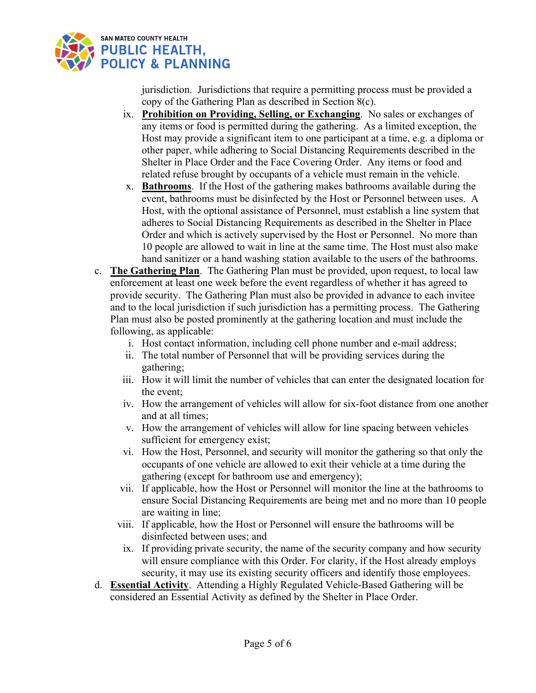

jurisdiction. Jurisdictions that require a permitting process must be provided a copy of the Gathering Plan as described in Section 8(c).

- ix. **Prohibition on Providing, Selling, or Exchanging**. No sales or exchanges of any items or food is permitted during the gathering. As a limited exception, the Host may provide a significant item to one participant at a time, e.g. a diploma or other paper, while adhering to Social Distancing Requirements described in the Shelter in Place Order and the Face Covering Order. Any items or food and related refuse brought by occupants of a vehicle must remain in the vehicle.
- x. **Bathrooms**. If the Host of the gathering makes bathrooms available during the event, bathrooms must be disinfected by the Host or Personnel between uses. A Host, with the optional assistance of Personnel, must establish a line system that adheres to Social Distancing Requirements as described in the Shelter in Place Order and which is actively supervised by the Host or Personnel. No more than 10 people are allowed to wait in line at the same time. The Host must also make hand sanitizer or a hand washing station available to the users of the bathrooms.
- c. **The Gathering Plan**. The Gathering Plan must be provided, upon request, to local law enforcement at least one week before the event regardless of whether it has agreed to provide security. The Gathering Plan must also be provided in advance to each invitee and to the local jurisdiction if such jurisdiction has a permitting process. The Gathering Plan must also be posted prominently at the gathering location and must include the following, as applicable:
	- i. Host contact information, including cell phone number and e-mail address;
	- ii. The total number of Personnel that will be providing services during the gathering;
	- iii. How it will limit the number of vehicles that can enter the designated location for the event;
	- iv. How the arrangement of vehicles will allow for six-foot distance from one another and at all times;
	- v. How the arrangement of vehicles will allow for line spacing between vehicles sufficient for emergency exist;
	- vi. How the Host, Personnel, and security will monitor the gathering so that only the occupants of one vehicle are allowed to exit their vehicle at a time during the gathering (except for bathroom use and emergency);
	- vii. If applicable, how the Host or Personnel will monitor the line at the bathrooms to ensure Social Distancing Requirements are being met and no more than 10 people are waiting in line;
	- viii. If applicable, how the Host or Personnel will ensure the bathrooms will be disinfected between uses; and
	- ix. If providing private security, the name of the security company and how security will ensure compliance with this Order. For clarity, if the Host already employs security, it may use its existing security officers and identify those employees.
- d. **Essential Activity**. Attending a Highly Regulated Vehicle-Based Gathering will be considered an Essential Activity as defined by the Shelter in Place Order.